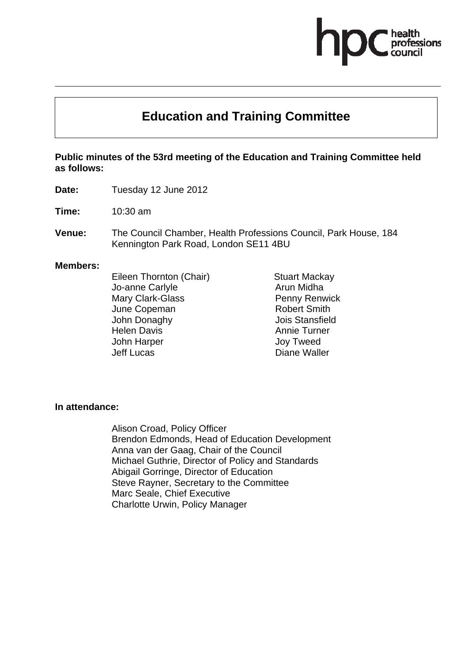# **Education and Training Committee**

#### **Public minutes of the 53rd meeting of the Education and Training Committee held as follows:**

**Date:** Tuesday 12 June 2012

**Time:** 10:30 am

**Venue:** The Council Chamber, Health Professions Council, Park House, 184 Kennington Park Road, London SE11 4BU

#### **Members:**

Eileen Thornton (Chair) Jo-anne Carlyle Mary Clark-Glass June Copeman John Donaghy Helen Davis John Harper Jeff Lucas

Stuart Mackay Arun Midha Penny Renwick Robert Smith Jois Stansfield Annie Turner Joy Tweed Diane Waller

#### **In attendance:**

Alison Croad, Policy Officer Brendon Edmonds, Head of Education Development Anna van der Gaag, Chair of the Council Michael Guthrie, Director of Policy and Standards Abigail Gorringe, Director of Education Steve Rayner, Secretary to the Committee Marc Seale, Chief Executive Charlotte Urwin, Policy Manager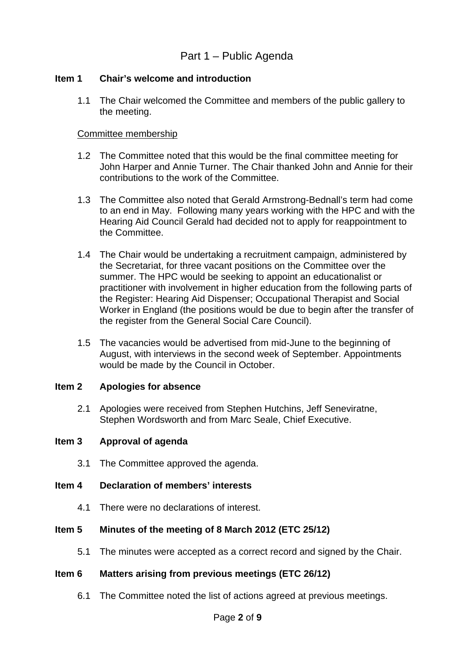# Part 1 – Public Agenda

#### **Item 1 Chair's welcome and introduction**

1.1 The Chair welcomed the Committee and members of the public gallery to the meeting.

#### Committee membership

- 1.2 The Committee noted that this would be the final committee meeting for John Harper and Annie Turner. The Chair thanked John and Annie for their contributions to the work of the Committee.
- 1.3 The Committee also noted that Gerald Armstrong-Bednall's term had come to an end in May. Following many years working with the HPC and with the Hearing Aid Council Gerald had decided not to apply for reappointment to the Committee.
- 1.4 The Chair would be undertaking a recruitment campaign, administered by the Secretariat, for three vacant positions on the Committee over the summer. The HPC would be seeking to appoint an educationalist or practitioner with involvement in higher education from the following parts of the Register: Hearing Aid Dispenser; Occupational Therapist and Social Worker in England (the positions would be due to begin after the transfer of the register from the General Social Care Council).
- 1.5 The vacancies would be advertised from mid-June to the beginning of August, with interviews in the second week of September. Appointments would be made by the Council in October.

#### **Item 2 Apologies for absence**

2.1 Apologies were received from Stephen Hutchins, Jeff Seneviratne, Stephen Wordsworth and from Marc Seale, Chief Executive.

#### **Item 3 Approval of agenda**

3.1 The Committee approved the agenda.

#### **Item 4 Declaration of members' interests**

4.1 There were no declarations of interest.

# **Item 5 Minutes of the meeting of 8 March 2012 (ETC 25/12)**

5.1 The minutes were accepted as a correct record and signed by the Chair.

# **Item 6 Matters arising from previous meetings (ETC 26/12)**

6.1 The Committee noted the list of actions agreed at previous meetings.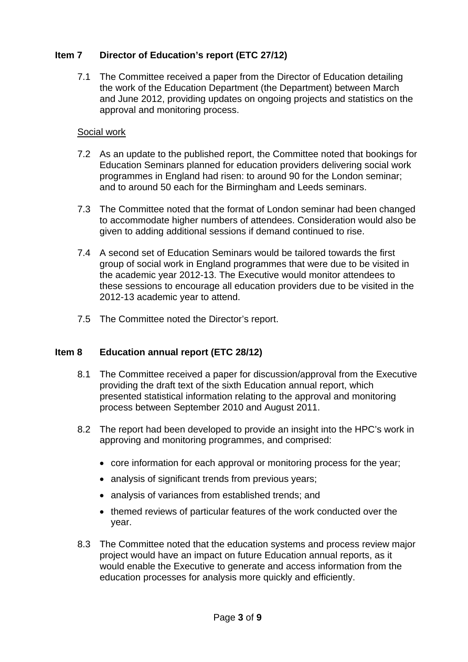# **Item 7 Director of Education's report (ETC 27/12)**

7.1 The Committee received a paper from the Director of Education detailing the work of the Education Department (the Department) between March and June 2012, providing updates on ongoing projects and statistics on the approval and monitoring process.

### Social work

- 7.2 As an update to the published report, the Committee noted that bookings for Education Seminars planned for education providers delivering social work programmes in England had risen: to around 90 for the London seminar; and to around 50 each for the Birmingham and Leeds seminars.
- 7.3 The Committee noted that the format of London seminar had been changed to accommodate higher numbers of attendees. Consideration would also be given to adding additional sessions if demand continued to rise.
- 7.4 A second set of Education Seminars would be tailored towards the first group of social work in England programmes that were due to be visited in the academic year 2012-13. The Executive would monitor attendees to these sessions to encourage all education providers due to be visited in the 2012-13 academic year to attend.
- 7.5 The Committee noted the Director's report.

# **Item 8 Education annual report (ETC 28/12)**

- 8.1 The Committee received a paper for discussion/approval from the Executive providing the draft text of the sixth Education annual report, which presented statistical information relating to the approval and monitoring process between September 2010 and August 2011.
- 8.2 The report had been developed to provide an insight into the HPC's work in approving and monitoring programmes, and comprised:
	- core information for each approval or monitoring process for the year;
	- analysis of significant trends from previous years;
	- analysis of variances from established trends; and
	- themed reviews of particular features of the work conducted over the year.
- 8.3 The Committee noted that the education systems and process review major project would have an impact on future Education annual reports, as it would enable the Executive to generate and access information from the education processes for analysis more quickly and efficiently.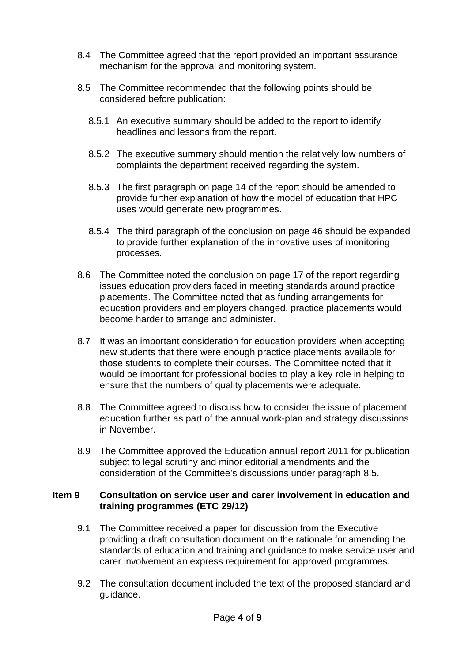- 8.4 The Committee agreed that the report provided an important assurance mechanism for the approval and monitoring system.
- 8.5 The Committee recommended that the following points should be considered before publication:
	- 8.5.1 An executive summary should be added to the report to identify headlines and lessons from the report.
	- 8.5.2 The executive summary should mention the relatively low numbers of complaints the department received regarding the system.
	- 8.5.3 The first paragraph on page 14 of the report should be amended to provide further explanation of how the model of education that HPC uses would generate new programmes.
	- 8.5.4 The third paragraph of the conclusion on page 46 should be expanded to provide further explanation of the innovative uses of monitoring processes.
- 8.6 The Committee noted the conclusion on page 17 of the report regarding issues education providers faced in meeting standards around practice placements. The Committee noted that as funding arrangements for education providers and employers changed, practice placements would become harder to arrange and administer.
- 8.7 It was an important consideration for education providers when accepting new students that there were enough practice placements available for those students to complete their courses. The Committee noted that it would be important for professional bodies to play a key role in helping to ensure that the numbers of quality placements were adequate.
- 8.8 The Committee agreed to discuss how to consider the issue of placement education further as part of the annual work-plan and strategy discussions in November.
- 8.9 The Committee approved the Education annual report 2011 for publication, subject to legal scrutiny and minor editorial amendments and the consideration of the Committee's discussions under paragraph 8.5.

# **Item 9 Consultation on service user and carer involvement in education and training programmes (ETC 29/12)**

- 9.1 The Committee received a paper for discussion from the Executive providing a draft consultation document on the rationale for amending the standards of education and training and guidance to make service user and carer involvement an express requirement for approved programmes.
- 9.2 The consultation document included the text of the proposed standard and guidance.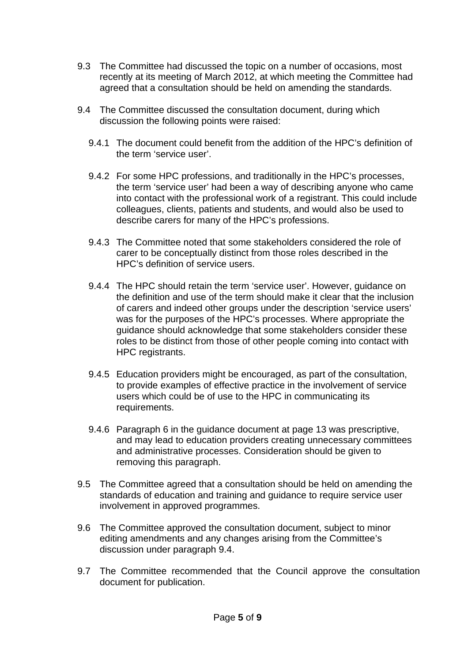- 9.3 The Committee had discussed the topic on a number of occasions, most recently at its meeting of March 2012, at which meeting the Committee had agreed that a consultation should be held on amending the standards.
- 9.4 The Committee discussed the consultation document, during which discussion the following points were raised:
	- 9.4.1 The document could benefit from the addition of the HPC's definition of the term 'service user'.
	- 9.4.2 For some HPC professions, and traditionally in the HPC's processes, the term 'service user' had been a way of describing anyone who came into contact with the professional work of a registrant. This could include colleagues, clients, patients and students, and would also be used to describe carers for many of the HPC's professions.
	- 9.4.3 The Committee noted that some stakeholders considered the role of carer to be conceptually distinct from those roles described in the HPC's definition of service users.
	- 9.4.4 The HPC should retain the term 'service user'. However, guidance on the definition and use of the term should make it clear that the inclusion of carers and indeed other groups under the description 'service users' was for the purposes of the HPC's processes. Where appropriate the guidance should acknowledge that some stakeholders consider these roles to be distinct from those of other people coming into contact with HPC registrants.
	- 9.4.5 Education providers might be encouraged, as part of the consultation, to provide examples of effective practice in the involvement of service users which could be of use to the HPC in communicating its requirements.
	- 9.4.6 Paragraph 6 in the guidance document at page 13 was prescriptive, and may lead to education providers creating unnecessary committees and administrative processes. Consideration should be given to removing this paragraph.
- 9.5 The Committee agreed that a consultation should be held on amending the standards of education and training and guidance to require service user involvement in approved programmes.
- 9.6 The Committee approved the consultation document, subject to minor editing amendments and any changes arising from the Committee's discussion under paragraph 9.4.
- 9.7 The Committee recommended that the Council approve the consultation document for publication.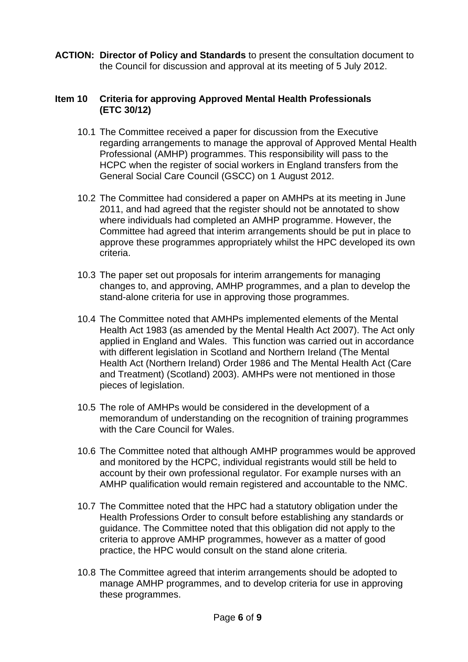**ACTION: Director of Policy and Standards** to present the consultation document to the Council for discussion and approval at its meeting of 5 July 2012.

#### **Item 10 Criteria for approving Approved Mental Health Professionals (ETC 30/12)**

- 10.1 The Committee received a paper for discussion from the Executive regarding arrangements to manage the approval of Approved Mental Health Professional (AMHP) programmes. This responsibility will pass to the HCPC when the register of social workers in England transfers from the General Social Care Council (GSCC) on 1 August 2012.
- 10.2 The Committee had considered a paper on AMHPs at its meeting in June 2011, and had agreed that the register should not be annotated to show where individuals had completed an AMHP programme. However, the Committee had agreed that interim arrangements should be put in place to approve these programmes appropriately whilst the HPC developed its own criteria.
- 10.3 The paper set out proposals for interim arrangements for managing changes to, and approving, AMHP programmes, and a plan to develop the stand-alone criteria for use in approving those programmes.
- 10.4 The Committee noted that AMHPs implemented elements of the Mental Health Act 1983 (as amended by the Mental Health Act 2007). The Act only applied in England and Wales. This function was carried out in accordance with different legislation in Scotland and Northern Ireland (The Mental Health Act (Northern Ireland) Order 1986 and The Mental Health Act (Care and Treatment) (Scotland) 2003). AMHPs were not mentioned in those pieces of legislation.
- 10.5 The role of AMHPs would be considered in the development of a memorandum of understanding on the recognition of training programmes with the Care Council for Wales.
- 10.6 The Committee noted that although AMHP programmes would be approved and monitored by the HCPC, individual registrants would still be held to account by their own professional regulator. For example nurses with an AMHP qualification would remain registered and accountable to the NMC.
- 10.7 The Committee noted that the HPC had a statutory obligation under the Health Professions Order to consult before establishing any standards or guidance. The Committee noted that this obligation did not apply to the criteria to approve AMHP programmes, however as a matter of good practice, the HPC would consult on the stand alone criteria.
- 10.8 The Committee agreed that interim arrangements should be adopted to manage AMHP programmes, and to develop criteria for use in approving these programmes.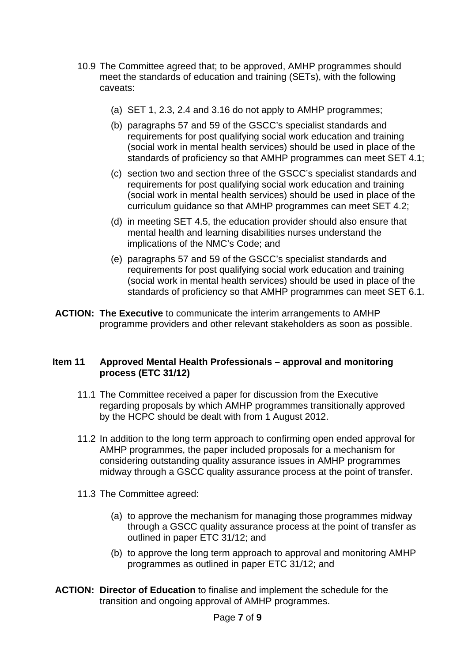- 10.9 The Committee agreed that; to be approved, AMHP programmes should meet the standards of education and training (SETs), with the following caveats:
	- (a) SET 1, 2.3, 2.4 and 3.16 do not apply to AMHP programmes;
	- (b) paragraphs 57 and 59 of the GSCC's specialist standards and requirements for post qualifying social work education and training (social work in mental health services) should be used in place of the standards of proficiency so that AMHP programmes can meet SET 4.1;
	- (c) section two and section three of the GSCC's specialist standards and requirements for post qualifying social work education and training (social work in mental health services) should be used in place of the curriculum guidance so that AMHP programmes can meet SET 4.2;
	- (d) in meeting SET 4.5, the education provider should also ensure that mental health and learning disabilities nurses understand the implications of the NMC's Code; and
	- (e) paragraphs 57 and 59 of the GSCC's specialist standards and requirements for post qualifying social work education and training (social work in mental health services) should be used in place of the standards of proficiency so that AMHP programmes can meet SET 6.1.
- **ACTION: The Executive** to communicate the interim arrangements to AMHP programme providers and other relevant stakeholders as soon as possible.

#### **Item 11 Approved Mental Health Professionals – approval and monitoring process (ETC 31/12)**

- 11.1 The Committee received a paper for discussion from the Executive regarding proposals by which AMHP programmes transitionally approved by the HCPC should be dealt with from 1 August 2012.
- 11.2 In addition to the long term approach to confirming open ended approval for AMHP programmes, the paper included proposals for a mechanism for considering outstanding quality assurance issues in AMHP programmes midway through a GSCC quality assurance process at the point of transfer.
- 11.3 The Committee agreed:
	- (a) to approve the mechanism for managing those programmes midway through a GSCC quality assurance process at the point of transfer as outlined in paper ETC 31/12; and
	- (b) to approve the long term approach to approval and monitoring AMHP programmes as outlined in paper ETC 31/12; and
- **ACTION: Director of Education** to finalise and implement the schedule for the transition and ongoing approval of AMHP programmes.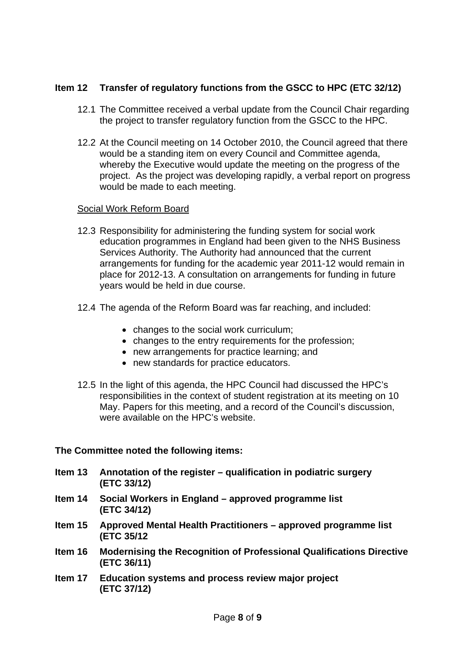# **Item 12 Transfer of regulatory functions from the GSCC to HPC (ETC 32/12)**

- 12.1 The Committee received a verbal update from the Council Chair regarding the project to transfer regulatory function from the GSCC to the HPC.
- 12.2 At the Council meeting on 14 October 2010, the Council agreed that there would be a standing item on every Council and Committee agenda, whereby the Executive would update the meeting on the progress of the project. As the project was developing rapidly, a verbal report on progress would be made to each meeting.

#### Social Work Reform Board

- 12.3 Responsibility for administering the funding system for social work education programmes in England had been given to the NHS Business Services Authority. The Authority had announced that the current arrangements for funding for the academic year 2011-12 would remain in place for 2012-13. A consultation on arrangements for funding in future years would be held in due course.
- 12.4 The agenda of the Reform Board was far reaching, and included:
	- changes to the social work curriculum;
	- changes to the entry requirements for the profession;
	- new arrangements for practice learning; and
	- new standards for practice educators.
- 12.5 In the light of this agenda, the HPC Council had discussed the HPC's responsibilities in the context of student registration at its meeting on 10 May. Papers for this meeting, and a record of the Council's discussion, were available on the HPC's website.

# **The Committee noted the following items:**

| Item 13 | Annotation of the register – qualification in podiatric surgery<br>(ETC 33/12)             |
|---------|--------------------------------------------------------------------------------------------|
| Item 14 | Social Workers in England - approved programme list<br>(ETC 34/12)                         |
| Item 15 | Approved Mental Health Practitioners – approved programme list<br>(ETC 35/12)              |
| Item 16 | <b>Modernising the Recognition of Professional Qualifications Directive</b><br>(ETC 36/11) |
| Item 17 | Education systems and process review major project<br>(ETC 37/12)                          |